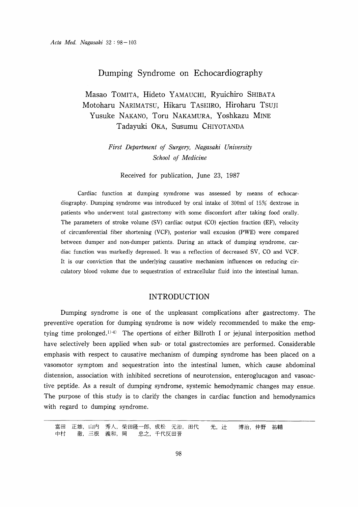## Dumping Syndrome on Echocardiography

Masao TOMITA, Hideto YAMAUCHI, Ryuichiro SHIBATA Motoharu NARIMATSU, Hikaru TASIIIRO, Hiroharu Tsuji Yusuke NAKANO, Toru NAKAMURA, Yoshkazu MINE Tadayuki OKA, Susumu CHIYOTANDA

> First Department of Surgery, Nagasaki University School of Medicine

Received for publication, June 23, 1987

Cardiac function at dumping symdrome was assessed by means of echocardiography. Dumping syndrome was introduced by oral intake of 300m1 of 15% dextrose in patients who underwent total gastrectomy with some discomfort after taking food orally. The parameters of stroke volume (SV) cardiac output (CO) ejection fraction (EF), velocity of circumferential fiber shortening (VCF), posterior wall excusion (PWE) were compared between dumper and non-dumper patients. During an attack of dumping syndrome, cardiac function was markedly depressed. It was a reflection of decreased SV, CO and VCF. It is our conviction that the underlying causative mechanism influences on reducing circulatory blood volume due to sequestration of extracellular fluid into the intestinal luman.

### INTRODUCTION

Dumping syndrome is one of the unpleasant complications after gastrectomy. The preventive operation for dumping syndrome is now widely recommended to make the emptying time prolonged.')-4) The opertions of either Billroth I or jejunal interposition method have selectively been applied when sub- or total gastrectomies are performed. Considerable emphasis with respect to causative mechanism of dumping syndrome has been placed on a vasomotor symptom and sequestration into the intestinal lumen, which cause abdominal distension, association with inhibited secretions of neurotension, enteroglucagon and vasoactive peptide. As a result of dumping syndrome, systemic hemodynamic changes may ensue. The purpose of this study is to clarify the changes in cardiac function and hemodynamics with regard to dumping syndrome.

富田 正雄,山内 秀人,柴田隆一郎,成松 元治,田代 光,计 博治,仲野 祐輔 中村 徹,三根 義和,岡 忠之,千代反田晋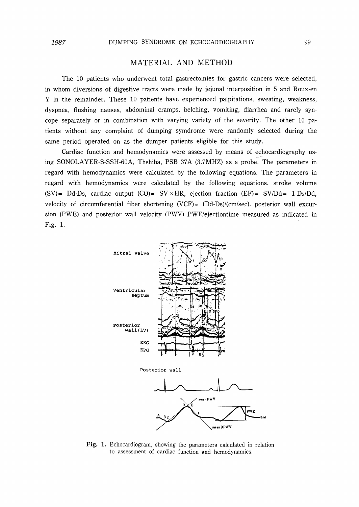# MATERIAL AND METHOD

The 10 patients who underwent total gastrectomies for gastric cancers were selected, in whom diversions of digestive tracts were made by jejunal interposition in 5 and Roux-en Y in the remainder. These 10 patients have experienced palpitations, sweating, weakness, dyspnea, flushing nausea, abdorninal cramps, belching, vomiting, diarrhea and rarely syncope separately or in combination with varying variety of the severity. The other 10 patients without any complaint of dumping symdrorne were randomly selected during the same period operated on as the dumper patients eligible for this study.

Cardiac function and hemodynamics were assessed by means of echocardiography using SONOLAYER-S-SSH-60A, Thshiba, PSB 37A (3.7MHZ) as a probe. The parameters in regard with hemodynamics were calculated by the following equations. The parameters in regard with hemodynamics were calculated by the following equations. stroke volume (SV)= Dd-Ds, cardiac output  $(CO)$ = SV × HR, ejection fraction  $(EF)$ = SV/Dd= 1-Ds/Dd, velocity of circumferential fiber shortening  $(VCF) = (Dd-Ds)/(cm/sec)$ . posterior wall excursion (PWE) and posterior wall velocity (PWV) PWE/ejectiontime measured as indicated in Fig. 1.



Fig. 1. Echocardiogram, showing the parameters calculated in relation to assessment of cardiac function and hemodynamics.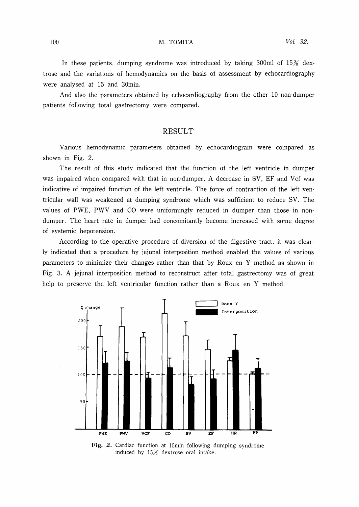In these patients, dumping syndrome was introduced by taking 300 $\text{ml}$  of 15% dextrose and the variations of hemodynamics on the basis of assessrnent by echocardiography were analysed at 15 and 30min.

And also the parameters obtained by echocardiography from the other 10 non-dumper patients following total gastrectomy were compared.

## RESULT

Various hemodynamic parameters obtained by echocardiogram were compared as shown in Fig. 2.

The result of this study indicated that the function of the left ventricle in dumper was impaired when compared with that in non-dumper. A decrease in SV, EF and Vcf was indicative of impaired function of the left ventricle. The force of contraction of the left ventricular wall was weakened at dumping syndrome which was sufficient to reduce SV. The values of PWE, PWV and CO were uniformingly reduced in dumper than those in nondumper. The heart rate in dumper had concomitantly become increased with some degree of systemic hepotension.

According to the operative procedure of diversion of the digestive tract, it was clearly indicated that a procedure by jejunal interposition method enabled the values of various parameters to minimize their changes rather than that by Roux en Y method as shown in Fig. 3. A jejunal interposition method to reconstruct after total gastrectomy was of great help to preserve the left ventricular function rather than a Roux en Y method.



Fig. 2. Cardiac function at 15min following dumping syndrome induced by 15% dextrose oral intake.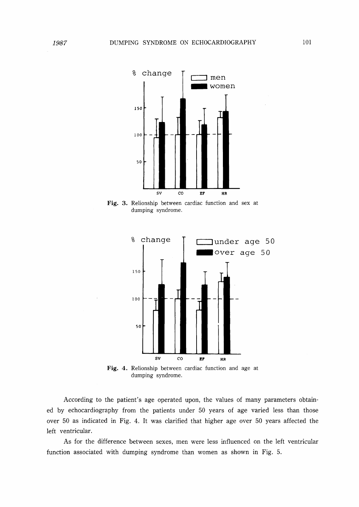

dumping syndrome.



dumping syndrome.

According to the patient's age operated upon, the values of many parameters obtained by echocardiography from the patients under 50 years of age varied less than those over 50 as indicated in Fig. 4. It was clarified that higher age over 50 years affected the left ventricular.

As for the difference between sexes, men were less influenced on the left ventricular function associated with dumping syndrome than women as shown in Fig. 5.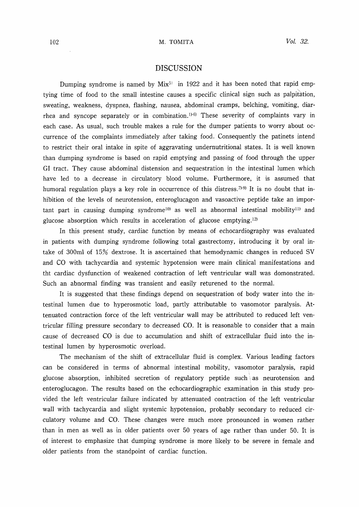#### **DISCUSSION**

Dumping syndrome is named by  $Mix^{5}$  in 1922 and it has been noted that rapid emptying time of food to the small intestine causes a specific clinical sign such as palpitation, sweating, weakness, dyspnea, flashing, nausea, abdominal cramps, belching, vomiting, diarrhea and syncope separately or in combination.<sup>1)-6)</sup> These severity of complaints vary in each case. As usual, such trouble makes a rule for the dumper patients to worry about occurrence of the complaints immediately after taking food. Consequently the patinets intend to restrict their oral intake in spite of aggravating undernutritional states. It is well known than dumping syndrome is based on rapid emptying and passing of food through the upper GI tract. They cause abdominal distension and sequestration in the intestinal lumen which have led to a decrease in circulatory blood volume. Furthermore, it is assumed that humoral regulation plays a key role in occurrence of this distress.<sup> $(7)$ -9)</sup> It is no doubt that inhibition of the levels of neurotension, enteroglucagon and vasoactive peptide take an important part in causing dumping syndrome<sup>10</sup> as well as abnormal intestinal mobility<sup>11</sup> and glucose absorption which results in acceleration of glucose emptying.12)

In this present study, cardiac function by means of echocardiography was evaluated in patients with dumping syndrome following total gastrectomy, introducing it by oral intake of 300ml of 15% dextrose. It is ascertained that hemodynamic changes in reduced SV and CO with tachycardia and systemic hypotension were main clinical manifestations and tht cardiac dysfunction of weakened contraction of left ventricular wall was domonstrated. Such an abnormal finding was transient and easily returened to the normal.

It is suggested that these findings depend on sequestration of body water into the intestinal lumen due to hyperosmotic load, partly attributable to vasomotor paralysis. Attenuated contraction force of the left ventricular wall may be attributed to reduced left ventricular filling pressure secondary to decreased CO. It is reasonable to consider that a main cause of decreased CO is due to accumulation and shift of extracellular fluid into the intestinal lumen by hyperosmotic overload.

The mechanism of the shift of extracellular fluid is complex. Various leading factors can be considered in terms of abnormal intestinal mobility, vasomotor paralysis, rapid glucose absorption, inhibited secretion of regulatory peptide such as neurotension and enteroglucagon. The results based on the echocardiographic examination in this study provided the left ventricular failure indicated by attenuated contraction of the left ventricular wall with tachycardia and slight systemic hypotension, probably secondary to reduced circulatory volume and CO. These changes were much more pronounced in wornen rather than in men as well as in older patients over 50 years of age rather than under 50. It is of interest to ernphasize that dumping syndrome is more likely to be severe in female and older patients from the standpoint of cardiac function.